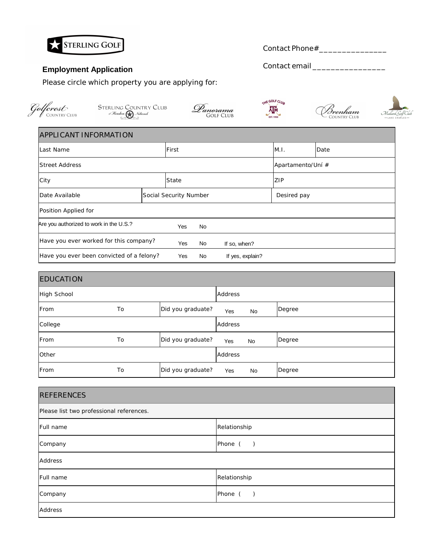

## **Employment Application**

Please circle which property you are applying for:

STERLING COUNTRY CLUB<br>of Houston **(A)** National<br>comparable

Contact email \_\_\_\_\_\_\_\_\_\_\_\_\_\_\_\_

THE GOLF CLUB

 $\overline{\mathbf{A}_{\text{BSL}, 1950}}$ 



 $\widehat{\mathcal{M}}$ allard  $\widehat{\mathcal{G}}$ olf  $C$ 

| <b>APPLICANT INFORMATION</b> |  |
|------------------------------|--|

Golfcrest

| ILast Name<br>First                       |       |                        |              |                   | M.I.        | Date |
|-------------------------------------------|-------|------------------------|--------------|-------------------|-------------|------|
| <b>Street Address</b>                     |       |                        |              | Apartamento/Uní # |             |      |
| City                                      | State |                        |              |                   | ZIP         |      |
| Date Available                            |       | Social Security Number |              |                   | Desired pay |      |
| Position Applied for                      |       |                        |              |                   |             |      |
| Are you authorized to work in the U.S.?   |       | Yes                    | No           |                   |             |      |
| Have you ever worked for this company?    | Yes   | No                     | If so, when? |                   |             |      |
| Have you ever been convicted of a felony? |       | Yes                    | No           | If yes, explain?  |             |      |

Danorama<br><sup>GOLF CLUB</sup>

| <b>EDUCATION</b> |    |                   |            |    |        |
|------------------|----|-------------------|------------|----|--------|
| High School      |    |                   | Address    |    |        |
| From             | To | Did you graduate? | Yes        | No | Degree |
| College          |    |                   | Address    |    |        |
| From             | To | Did you graduate? | <b>Yes</b> | No | Degree |
| Other            |    |                   | Address    |    |        |
| From             | To | Did you graduate? | Yes        | No | Degree |

| <b>REFERENCES</b>                        |              |  |  |  |
|------------------------------------------|--------------|--|--|--|
| Please list two professional references. |              |  |  |  |
| Full name                                | Relationship |  |  |  |
| Company                                  | Phone ()     |  |  |  |
| Address                                  |              |  |  |  |
| Full name                                | Relationship |  |  |  |
| Company                                  | Phone $( )$  |  |  |  |
| Address                                  |              |  |  |  |